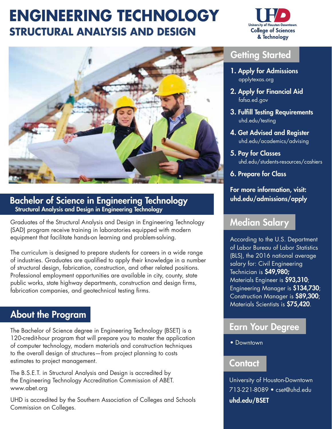# **ENGINEERING TECHNOLOGY STRUCTURAL ANALYSIS AND DESIGN**





### Bachelor of Science in Engineering Technology Structural Analysis and Design in Engineering Technology

Graduates of the Structural Analysis and Design in Engineering Technology (SAD) program receive training in laboratories equipped with modern equipment that facilitate hands-on learning and problem-solving.

The curriculum is designed to prepare students for careers in a wide range of industries. Graduates are qualified to apply their knowledge in a number of structural design, fabrication, construction, and other related positions. Professional employment opportunities are available in city, county, state public works, state highway departments, construction and design firms, fabrication companies, and geotechnical testing firms.

# About the Program

The Bachelor of Science degree in Engineering Technology (BSET) is a 120-credit-hour program that will prepare you to master the application of computer technology, modern materials and construction techniques to the overall design of structures—from project planning to costs estimates to project management.

The B.S.E.T. in Structural Analysis and Design is accredited by the Engineering Technology Accreditation Commission of ABET. <www.abet.org>

UHD is accredited by the Southern Association of Colleges and Schools Commission on Colleges.

## Getting Started

- 1. Apply for Admissions  [applytexas.org](https://applytexas.org)
- 2. Apply for Financial Aid  [fafsa.ed.gov](https://fafsa.ed.gov)
- 3. Fulfill Testing Requirements  [uhd.edu/testing](https://uhd.edu/testing)
- 4. Get Advised and Register  [uhd.edu/academics/advising](https://uhd.edu/academics/advising)
- 5. Pay for Classes [uhd.edu/students-resources/cashiers](https://uhd.edu/students-resources/cashiers)
- 6. Prepare for Class

#### For more information, visit: [uhd.edu/admissions/apply](https://uhd.edu/admissions/apply)

# Median Salary

According to the U.S. Department of Labor Bureau of Labor Statistics (BLS), the 2016 national average salary for: Civil Engineering Technician is \$49,980; Materials Engineer is \$93,310; Engineering Manager is \$134,730; Construction Manager is \$89,300; Materials Scientists is \$75,420.

## Earn Your Degree

• Downtown

### Contact

University of Houston-Downtown 713-221-8089 • [cset@uhd.edu](mailto:cset@uhd.edu) [uhd.edu/BSET](https://uhd.edu/BSET)